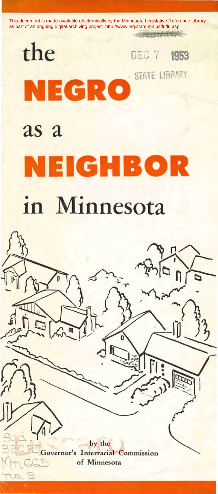

# in Minnesota

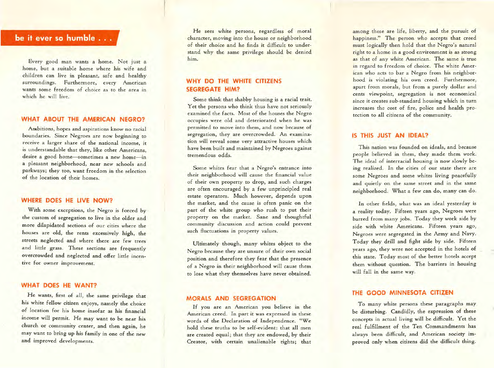# **be it ever so humble** ...

Every good man wants a home. Not just a home, but a suitable home where his wife and children can live in pleasant, safe and healthy surroundings. Furthermore, every American wants some freedom of choice as to the area in which he will live.

#### **WHAT ABOUT THE AMERICAN NEGRO?**

Ambitions, hopes and aspirations know no racial boundaries. Since Negroes are now beginning to receive a larger share of the national income, it is understandable that they, like other Americans, desire a good home-sometimes a new home-in a pleasant neighborhood, near new schools and parkways; they too, want freedom in the selection of the location of their homes.

#### **WHERE DOES HE LIVE NOW?**

With some exceptions, the Negro is forced by the custom of segregation to live in the older and more dilapidated sections of our cities where the houses are old, the rents excessively high, the streets neglected and where there are few trees and little grass. These sections are frequently overcrowded and neglected and offer little incentive for owner improvement.

#### **WHAT DOES HE WANT?**

He wants., first of all, the same privilege that his white fellow citizen enjoys, namely the choice of location for his home insofar as his financial income wiH permit. He may want to be near his church or community center, and then again, he may want to bring up his family in one of the new and improved developments.

He sees white persons, regardless of moral character, moving into the house or neighborhood of their choice and he finds it difficult to understand why the same privilege should be denied him.

# **WHY DO THE WHITE CITIZENS SEGREGATE HIM?**

Some think that shabby housing is a racial trait. Yet the persons who think thus have not seriously examined the facts. Most of the houses the Negro occupies were old and deteriorated when he was permitted to move into them, and now because of segregation, they are overcrowded. An examination will reveal some very attractive houses which have been built and maintained by Negroes against tremendous odds.

Some whites fear that a Negro's entrance into their neighborhood will cause the financial value of their own property to drop, and such charges are often encouraged by a few unprincipled real estate operators. Much however, depends upon the market, and the cause is often panic on the part of the white group who rush to put their property on the market. Sane and thoughtful community discussion and action could prevent such fluctuations in property values.

Ultimately though, many whites object to the Negro because they are unsure of their own social position and therefore they fear that the presence of a Negro in their neighborhood will cause them to lose what they themselves have never obtained.

#### **MORALS AND SEGREGATION**

If you are an American you believe in the American creed. In part it was expressed in these words of the Declaration of Independence. *''We*  hold these truths to be self-evident: that all men are created equal; that they are endowed, by their Creator, with certain unalienable rights; that among these are life, liberty, and the pursuit of happiness." The person who accepts that creed must logically then hold that the Negro's natural right to a home in a good environment is as strong as that of any white American. The same is true in regard to freedom of choice. The white American who acts to bar a Negro from his neighborhood is violating his own creed. Furthermore, apart from morals, but from a purely dollar and cents viewpoint, segregation is not economical since it creates sub-standard housing which in turn increases the cost of fire, police and health protection to all citizens of the community.

### **IS THIS JUST AN IDEAL?**

This nation was founded on ideals, and because people believed in them, they made them work. The ideal of interracial housing is now slowly being realized. In the cities of our state there are some Negroes and some whites living peacefully and quietly on the same street and in the same neighborhood. What a few can do, many can do.

In other fields, what was an ideal yesterday is a reality today. Fifteen years ago, Negroes were barred from many jobs. Today they work side by side with white Americans. Fifteen years ago, Negroes were segregated in the Army and Navy. Today they drill and fight side by side. Fifteen years ago, they were not accepted in the hotels of this state. Today most of the better hotels accept them without question. The barriers in housing will fall in the same way.

#### **THE GOOD MINNESOTA CITIZEN**

To many white persons these paragraphs may be disturbing. Candidly, the expression of these concepts in actual living will be difficult. Yet the real fulfillment of the Ten Commandments has always been difficult, and American society improved only when citizens did the difficult thing.